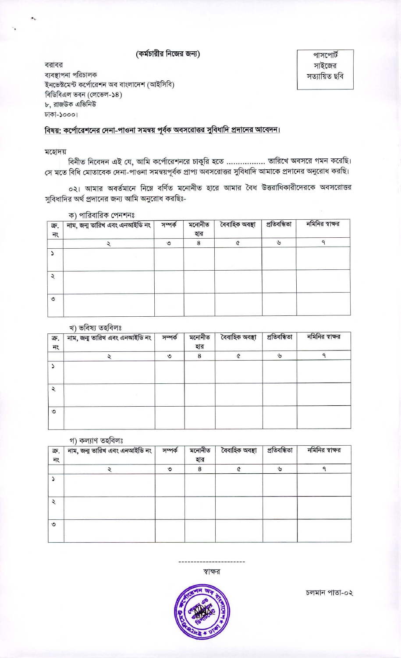# (কর্মচারীর নিজের জন্য)

বরাবর ব্যবস্থাপনা পরিচালক ইনভেক্টমেন্ট কর্পোরেশন অব বাংলাদেশ (আইসিবি) বিডিবিএল ভবন (লেভেল-১৪) ৮, রাজউক এভিনিউ ঢাকা-১০০০।

বিষয়: কর্পোরেশনের দেনা-পাওনা সমন্বয় পূর্বক অবসরোত্তর সুবিধাদি প্রদানের আবেদন।

#### মহোদয়

বিনীত নিবেদন এই যে, আমি কর্পোরেশনরে চাকুরি হতে ................. তারিখে অবসরে গমন করেছি। সে মতে বিধি মোতাবেক দেনা-পাওনা সমন্বয়পূর্বক প্রাপ্য অবসরোত্তর সুবিধাদি আমাকে প্রদানের অনুরোধ করছি।

০২। আমার অবর্তমানে নিম্নে বর্ণিত মনোনীত হারে আমার বৈধ উত্তরাধিকারীদেরকে অবসরোত্তর সুবিধাদির অর্থ প্রদানের জন্য আমি অনুরোধ করছিঃ-

নমিনির স্বাক্ষর নাম, জন্ম তারিখ এবং এনআইডি নং সম্পৰ্ক মনোনীত বৈবাহিক অবস্থা প্ৰতিবন্ধিতা ক্র. হার নং  $\tilde{\mathbf{g}}$ ٩  $\bf8$  $\mathbf{\hat{o}}$ ¢  $\boldsymbol{\mathcal{L}}$  $\blacktriangleright$  $\lambda$  $\circ$ 

## ক) পারিবারিক পেনশনঃ

### খ) ভবিষা তহবিলঃ

| ক্র.<br>নং    | $\cdots$<br>নাম, জন্ম তারিখ এবং এনআইডি নং | সম্পৰ্ক | মনোনীত<br>হার | বৈবাহিক অবস্থা | প্ৰতিবন্ধিতা | নমিনির স্বাক্ষর |
|---------------|-------------------------------------------|---------|---------------|----------------|--------------|-----------------|
|               |                                           | ৩       | 8             |                | با           |                 |
|               |                                           |         |               |                |              |                 |
| $\mathcal{L}$ |                                           |         |               |                |              |                 |
| ৩             |                                           |         |               |                |              |                 |

#### গ) কল্যাণ তহবিলঃ

| ক্র.<br>নং | নাম, জন্ম তারিখ এবং এনআইডি নং | সম্পৰ্ক | মনোনীত<br>হার | বৈবাহিক অবস্থা | প্ৰতিবন্ধিতা  | নমিনির স্বাক্ষর |
|------------|-------------------------------|---------|---------------|----------------|---------------|-----------------|
|            |                               | ৩       | 8             |                | $\mathcal{V}$ |                 |
|            |                               |         |               |                |               |                 |
| $\lambda$  |                               |         |               |                |               |                 |
| ৩          |                               |         |               |                |               |                 |



স্বাক্ষর

চলমান পাতা-০২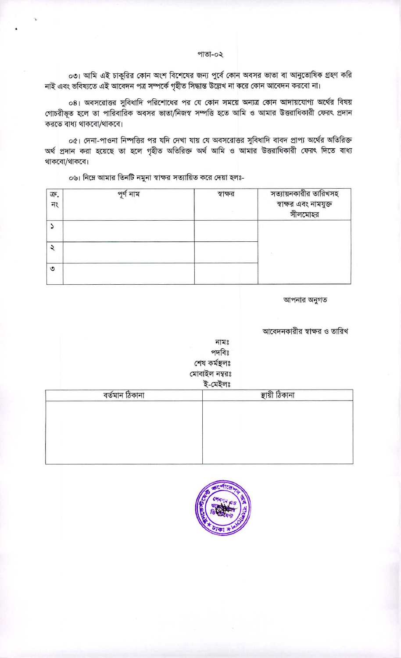### পাতা-০২

০৩। আমি এই চাকুরির কোন অংশ বিশেষের জন্য পুর্বে কোন অবসর ভাতা বা আনুতোষিক গ্রহণ করি নাই এবং ভবিষ্যতে এই আবেদন পত্র সম্পর্কে গৃহীত সিদ্ধান্ত উল্লেখ না করে কোন আবেদন করবো না।

০৪। অবসরোত্তর সুবিধাদি পরিশোধের পর যে কোন সময়ে অন্যত্র কোন আদায়যোগ্য অর্থের বিষয় গোচরীভূত হলে তা পারিবারিক অবসর ভাতা/নিজস্ব সম্পত্তি হতে আমি ও আমার উত্তরাধিকারী ফেরৎ প্রদান করতে বাধ্য থাকবো/থাকবে।

০৫। দেনা-পাওনা নিম্পত্তির পর যদি দেখা যায় যে অবসরোত্তর সুবিধাদি বাবদ প্রাপ্য অর্থের অতিরিক্ত অৰ্থ প্ৰদান করা হয়েছে তা হলে গৃহীত অতিরিক্ত অর্থ আমি ও আমার উত্তরাধিকারী ফেরৎ দিতে বাধ্য থাকবো/থাকবে।

০৬। নিম্নে আমার তিনটি নমুনা স্বাক্ষর সত্যায়িত করে দেয়া হলঃ-

| ক্র.<br>নং | পৰ্ণ<br>া নাম | স্বাক্ষর | সত্যায়নকারীর তারিখসহ<br>স্বাক্ষর এবং নামযুক্ত<br>সীলমোহর |
|------------|---------------|----------|-----------------------------------------------------------|
|            |               |          |                                                           |
|            |               |          |                                                           |
| ৩          |               |          |                                                           |

আপনার অনুগত

আবেদনকারীর স্বাক্ষর ও তারিখ

|                | পদবিঃ<br>শেষ কর্মস্থলঃ<br>মোবাইল নম্বরঃ<br>ই-মেইলঃ |
|----------------|----------------------------------------------------|
| বৰ্তমান ঠিকানা | স্থায়ী ঠিকানা                                     |
|                |                                                    |
|                |                                                    |
|                |                                                    |



নামঃ